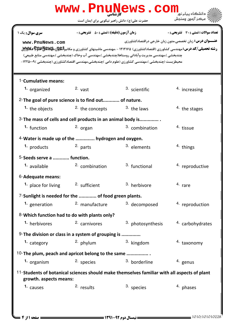| www.PnuNews.com                                                                                                       |                                                    |                                                                                                                                                                                                    |                                                                                                          |  |  |  |  |
|-----------------------------------------------------------------------------------------------------------------------|----------------------------------------------------|----------------------------------------------------------------------------------------------------------------------------------------------------------------------------------------------------|----------------------------------------------------------------------------------------------------------|--|--|--|--|
|                                                                                                                       | حضرت علی(ع): دانش راهبر نیکویی برای ایمان است      |                                                                                                                                                                                                    | ' مرڪز آزمون وسنڊش                                                                                       |  |  |  |  |
| <b>سری سوال :</b> یک ۱<br>www.PnuNews.com                                                                             | <b>زمان آزمون (دقیقه) : تستی : 50 ٪ تشریحی : 0</b> | <b>رشته تحصیلی/کد درس: مهندسی کشاورزی (اقتصادکشاورزی) ۱۲۱۲۱۶۵ - ،مهندسی ماشینهای کشاورزی و مکانیز<del>بالیالی، Puyy</del> که کلایالیا</b>                                                          | تعداد سوالات : تستي : 30 ٪ تشريحي : 0<br><b>عنـــوان درس:</b> زبان تخصصي،متون زبان خارجي دراقتصادكشاورزي |  |  |  |  |
|                                                                                                                       |                                                    | چندبخشي )،مهندسي مديريت وآباداني روستاها(چندبخشي )،مهندسي آب وخاک (چندبخشي )،مهندسي منابع طبيعي)<br>محیطزیست (چندبخشی )،مهندسی کشاورزی (علوم دامی )چندبخشی،مهندسی اقتصادکشاورزی (چندبخشی )۱۲۲۵۰۰۹- |                                                                                                          |  |  |  |  |
| 1-Cumulative means:                                                                                                   |                                                    |                                                                                                                                                                                                    |                                                                                                          |  |  |  |  |
| <sup>1.</sup> organized                                                                                               | $2.$ vast                                          | <sup>3.</sup> scientific                                                                                                                                                                           | <sup>4.</sup> increasing                                                                                 |  |  |  |  |
| 2-The goal of pure science is to find out of nature.                                                                  |                                                    |                                                                                                                                                                                                    |                                                                                                          |  |  |  |  |
| <sup>1</sup> the objects                                                                                              | <sup>2.</sup> the concepts                         | 3. the laws                                                                                                                                                                                        | <sup>4</sup> the stages                                                                                  |  |  |  |  |
| 3- The mass of cells and cell products in an animal body is                                                           |                                                    |                                                                                                                                                                                                    |                                                                                                          |  |  |  |  |
| <sup>1.</sup> function                                                                                                | $2.$ organ                                         | <sup>3.</sup> combination                                                                                                                                                                          | <sup>4</sup> tissue                                                                                      |  |  |  |  |
| 4-Water is made up of the  hydrogen and oxygen.                                                                       |                                                    |                                                                                                                                                                                                    |                                                                                                          |  |  |  |  |
| <sup>1.</sup> products                                                                                                | $2.$ parts                                         | <sup>3.</sup> elements                                                                                                                                                                             | <sup>4</sup> things                                                                                      |  |  |  |  |
|                                                                                                                       | 5-Seeds serve a  function.                         |                                                                                                                                                                                                    |                                                                                                          |  |  |  |  |
| <sup>1.</sup> available                                                                                               | <sup>2.</sup> combination                          | <sup>3.</sup> functional                                                                                                                                                                           | <sup>4</sup> reproductive                                                                                |  |  |  |  |
| 6-Adequate means:                                                                                                     |                                                    |                                                                                                                                                                                                    |                                                                                                          |  |  |  |  |
| <sup>1.</sup> place for living                                                                                        | <sup>2.</sup> sufficient                           | 3. herbivore                                                                                                                                                                                       | 4. rare                                                                                                  |  |  |  |  |
| 7-Sunlight is needed for the  of food green plants.                                                                   |                                                    |                                                                                                                                                                                                    |                                                                                                          |  |  |  |  |
| 1. generation                                                                                                         | <sup>2.</sup> manufacture                          | <sup>3.</sup> decomposed                                                                                                                                                                           | <sup>4</sup> reproduction                                                                                |  |  |  |  |
| 8-Which function had to do with plants only?                                                                          |                                                    |                                                                                                                                                                                                    |                                                                                                          |  |  |  |  |
| <sup>1.</sup> herbivores                                                                                              | <sup>2.</sup> carnivores                           | 3. photosynthesis                                                                                                                                                                                  | 4. carbohydrates                                                                                         |  |  |  |  |
| $9$ -The division or class in a system of grouping is.                                                                |                                                    |                                                                                                                                                                                                    |                                                                                                          |  |  |  |  |
| <sup>1.</sup> category                                                                                                | $2.$ phylum                                        | <sup>3.</sup> kingdom                                                                                                                                                                              | <sup>4.</sup> taxonomy                                                                                   |  |  |  |  |
| 10-The plum, peach and apricot belong to the same                                                                     |                                                    |                                                                                                                                                                                                    |                                                                                                          |  |  |  |  |
| 1. organism                                                                                                           | <sup>2.</sup> species                              | 3. borderline                                                                                                                                                                                      | <sup>4.</sup> genus                                                                                      |  |  |  |  |
| 11-Students of botanical sciences should make themselves familiar with all aspects of plant<br>growth. aspects means: |                                                    |                                                                                                                                                                                                    |                                                                                                          |  |  |  |  |
| <sup>1.</sup> causes                                                                                                  | <sup>2.</sup> results                              | <sup>3.</sup> species                                                                                                                                                                              | <sup>4</sup> phases                                                                                      |  |  |  |  |
|                                                                                                                       |                                                    |                                                                                                                                                                                                    |                                                                                                          |  |  |  |  |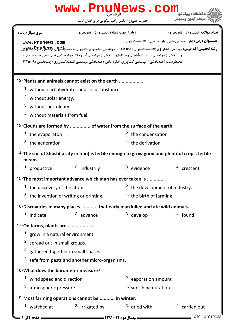## حضرت علي(ع): دانش راهبر نيكويي براي ايمان است كارشناسي **[www.PnuNews.com](http://pnunews.com) عنــــوان درس:** زبان تخصصي،متون زبان خارجي دراقتصادكشاورزي ر**شته تحصیلی/کد درس:**مهندسی کشاورزی (اقتصادکشاورزی) ۱۲۱۲۱۶۵ - ،مهندسی ماشینهای کشاورزی و مکانیز**الیولن،Ppu،پBpu) ت** نعداد سوالات : تستي : 30 - تشريحي : . زمان آزمون (دقيقه) : تستي : 50 - تشريحي : 0 - رئيس س چندبخشي )،مهندسي مديريت وآباداني روستاها(چندبخشي )،مهندسي آب وخاک (چندبخشي )،مهندسي منابع طبيعي) محیطزیست (چندبخشی )،مهندسی کشاورزی (علوم دامی )چندبخشی،مهندسی اقتصادکشاورزی (چندبخشی )۲۲۵۰۰۹– 12-Plants and animals cannot exist on the earth ................. without carbohydrates and solid substance. **1.** <sup>2.</sup> without solar energy. <sup>3</sup> without petroleum. 4. without materials from fuel. 13-Clouds are formed by ............... of water from the surface of the earth.  $2.$  the condensation  $3.$  the generation  $4.$  the derivation **1.** the evaporaton 14- The soil of Shush( a city in Iran) is fertile enough to grow good and plentiful crops. fertile means: 1. productive  $\frac{2}{1}$  industrily  $\frac{3}{1}$  evidence  $\frac{4}{1}$  crescent <sup>2.</sup> industrily 15- The most important advance which man has ever taken is ............. <sup>2.</sup> the development of industry. <sup>3.</sup> the invention of writing or printing.  $\frac{4}{1}$  the birth of farming. <sup>1</sup> the discovery of the atom.  $16$ -Discoveries in many places ............ that early man killed and ate wild animals. 1. indicate  $\frac{2}{3}$  advance  $\frac{3}{3}$  develop  $\frac{4}{3}$  found <sup>2.</sup> advance 17-On farms, plants are ................... 1. grow in a natural environment. <sup>2.</sup> spread out in small groups.  $3.$  gathered together in small spaces. <sup>4.</sup> safe from pests and another micro-organisms. 18- What does the barometer measure? <sup>1</sup> wind speed and direction **EXACCO** 2. eaporation amount  $4.$  sun shine duration 3. atmospheric pressure 19-Most farming operations cannot be ........... in winter. <sup>2.</sup> irrigated by  $3.$  dried with  $4.$  carried out **1.** watched at 1010/101010228 - حصة 12 1010 مستقيمة تسمى السال دوم 22-1311 - 1392 - مفحه 12 از 4 ت **[www.PnuNews.com](http://pnunews.com)**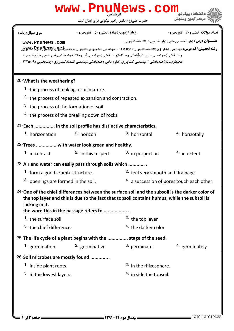| www.PnuNews.com                                                                                                                                                                                                                                               |                                                                                                                                                                                                                                                                                                                                                   |                                             |                                                                 |  |  |  |
|---------------------------------------------------------------------------------------------------------------------------------------------------------------------------------------------------------------------------------------------------------------|---------------------------------------------------------------------------------------------------------------------------------------------------------------------------------------------------------------------------------------------------------------------------------------------------------------------------------------------------|---------------------------------------------|-----------------------------------------------------------------|--|--|--|
|                                                                                                                                                                                                                                                               | حضرت علی(ع): دانش راهبر نیکویی برای ایمان است                                                                                                                                                                                                                                                                                                     |                                             | مركز آزمون وسنجش                                                |  |  |  |
| سری سوال : یک ۱                                                                                                                                                                                                                                               | <b>زمان آزمون (دقیقه) : تستی : 80 ٪ تشریحی : 0</b>                                                                                                                                                                                                                                                                                                |                                             | تعداد سوالات : تستي : 30 ٪ تشريحي : 0                           |  |  |  |
| www.PnuNews.com                                                                                                                                                                                                                                               | <b>رشته تحصیلی/کد درس:</b> مهندسی کشاورزی (اقتصادکشاورزی) ۱۲۱۲۱۶۵ - ،مهندسی ماشینهای کشاورزی و مکانیز <b>العیلِن .پهپایالنلهاچ کیلاپالان</b><br>چندبخشي )،مهندسي مديريت وآباداني روستاها(چندبخشي )،مهندسي آب وخاک (چندبخشي )،مهندسي منابع طبيعي)<br>محیطزیست (چندبخشی )،مهندسی کشاورزی (علوم دامی )چندبخشی،مهندسی اقتصادکشاورزی (چندبخشی )۲۲۵۰۰۹- |                                             | <b>عنـــوان درس:</b> زبان تخصصي،متون زبان خارجي دراقتصادكشاورزي |  |  |  |
| 20-What is the weathering?                                                                                                                                                                                                                                    |                                                                                                                                                                                                                                                                                                                                                   |                                             |                                                                 |  |  |  |
|                                                                                                                                                                                                                                                               | <sup>1</sup> the process of making a soil mature.                                                                                                                                                                                                                                                                                                 |                                             |                                                                 |  |  |  |
|                                                                                                                                                                                                                                                               | <sup>2</sup> the process of repeated expansion and contraction.                                                                                                                                                                                                                                                                                   |                                             |                                                                 |  |  |  |
|                                                                                                                                                                                                                                                               | <sup>3</sup> the process of the formation of soil.                                                                                                                                                                                                                                                                                                |                                             |                                                                 |  |  |  |
| <sup>4.</sup> the process of the breaking down of rocks.                                                                                                                                                                                                      |                                                                                                                                                                                                                                                                                                                                                   |                                             |                                                                 |  |  |  |
|                                                                                                                                                                                                                                                               | 21-Each  in the soil profile has distinctive characteristics.                                                                                                                                                                                                                                                                                     |                                             |                                                                 |  |  |  |
| 1. horizonation                                                                                                                                                                                                                                               | <sup>2.</sup> horizon                                                                                                                                                                                                                                                                                                                             | <sup>3.</sup> horizontal                    | 4. horizotally                                                  |  |  |  |
| 22-Trees  with water look green and healthy.                                                                                                                                                                                                                  |                                                                                                                                                                                                                                                                                                                                                   |                                             |                                                                 |  |  |  |
| <sup>1</sup> in contact                                                                                                                                                                                                                                       | <sup>2.</sup> in this respect                                                                                                                                                                                                                                                                                                                     | <sup>3</sup> in porportion                  | $4.$ in extent                                                  |  |  |  |
|                                                                                                                                                                                                                                                               | 23-Air and water can easily pass through soils which                                                                                                                                                                                                                                                                                              |                                             |                                                                 |  |  |  |
| <sup>1</sup> form a good crumb- structure.                                                                                                                                                                                                                    |                                                                                                                                                                                                                                                                                                                                                   | <sup>2</sup> feel very smooth and drainage. |                                                                 |  |  |  |
| <sup>3.</sup> openings are formed in the soil.                                                                                                                                                                                                                |                                                                                                                                                                                                                                                                                                                                                   | 4. a succession of pores touch each other.  |                                                                 |  |  |  |
| $24$ -One of the chief differences between the surface soil and the subsoil is the darker color of<br>the top layer and this is due to the fact that topsoil contains humus, while the subsoil is<br>lacking in it.<br>the word this in the passage refers to |                                                                                                                                                                                                                                                                                                                                                   |                                             |                                                                 |  |  |  |
| <sup>1</sup> the surface soil                                                                                                                                                                                                                                 |                                                                                                                                                                                                                                                                                                                                                   | <sup>2.</sup> the top layer                 |                                                                 |  |  |  |
| <sup>3</sup> the chief differences                                                                                                                                                                                                                            |                                                                                                                                                                                                                                                                                                                                                   | <sup>4.</sup> the darker color              |                                                                 |  |  |  |
|                                                                                                                                                                                                                                                               | 25-The life cycle of a plant begins with the  stage of the seed.                                                                                                                                                                                                                                                                                  |                                             |                                                                 |  |  |  |
|                                                                                                                                                                                                                                                               | <sup>1</sup> germination <sup>2</sup> germinative                                                                                                                                                                                                                                                                                                 | <sup>3.</sup> germinate                     | <sup>4.</sup> germinately                                       |  |  |  |
| 26-Soil microbes are mostly found                                                                                                                                                                                                                             |                                                                                                                                                                                                                                                                                                                                                   |                                             |                                                                 |  |  |  |
| <sup>1.</sup> inside plant roots.                                                                                                                                                                                                                             |                                                                                                                                                                                                                                                                                                                                                   | <sup>2</sup> in the rhizosphere.            |                                                                 |  |  |  |
| <sup>3</sup> in the lowest layers.                                                                                                                                                                                                                            |                                                                                                                                                                                                                                                                                                                                                   | <sup>4</sup> in side the topsoil.           |                                                                 |  |  |  |
|                                                                                                                                                                                                                                                               |                                                                                                                                                                                                                                                                                                                                                   |                                             |                                                                 |  |  |  |